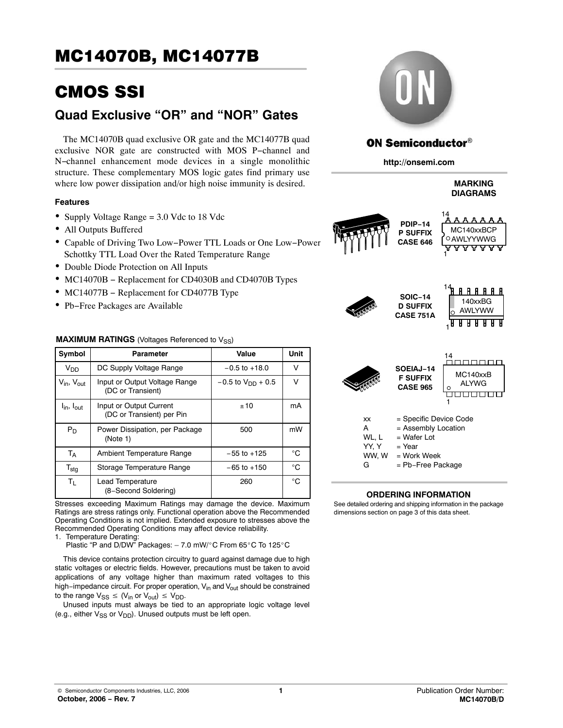# CMOS SSI

# **Quad Exclusive "OR" and "NOR" Gates**

The MC14070B quad exclusive OR gate and the MC14077B quad exclusive NOR gate are constructed with MOS P−channel and N−channel enhancement mode devices in a single monolithic structure. These complementary MOS logic gates find primary use where low power dissipation and/or high noise immunity is desired.

## **Features**

- Supply Voltage Range = 3.0 Vdc to 18 Vdc
- All Outputs Buffered
- Capable of Driving Two Low−Power TTL Loads or One Low−Power Schottky TTL Load Over the Rated Temperature Range
- Double Diode Protection on All Inputs
- MC14070B − Replacement for CD4030B and CD4070B Types
- MC14077B Replacement for CD4077B Type
- Pb−Free Packages are Available

## **MAXIMUM RATINGS** (Voltages Referenced to V<sub>SS</sub>)

| Symbol                             | Parameter                                            | Value                    | Unit |
|------------------------------------|------------------------------------------------------|--------------------------|------|
| V <sub>DD</sub>                    | DC Supply Voltage Range                              | $-0.5$ to $+18.0$        | v    |
| $V_{\text{in}}$ , $V_{\text{out}}$ | Input or Output Voltage Range<br>(DC or Transient)   | $-0.5$ to $V_{DD}$ + 0.5 | V    |
| $I_{\text{in}}$ , $I_{\text{out}}$ | Input or Output Current<br>(DC or Transient) per Pin | ±10                      | mA   |
| $P_D$                              | Power Dissipation, per Package<br>(Note 1)           | 500                      | mW   |
| Т <sub>А</sub>                     | Ambient Temperature Range                            | $-55$ to $+125$          | °C   |
| $\mathsf{T}_{\textsf{stg}}$        | Storage Temperature Range                            | $-65$ to $+150$          | °C   |
| $T_{L}$                            | Lead Temperature<br>(8-Second Soldering)             | 260                      | °C.  |

Stresses exceeding Maximum Ratings may damage the device. Maximum Ratings are stress ratings only. Functional operation above the Recommended Operating Conditions is not implied. Extended exposure to stresses above the Recommended Operating Conditions may affect device reliability.

1. Temperature Derating:

Sommonaud Ophaming<br>Temperature Derating:<br>Plastic "P and D/DW" Packages: – 7.0 mW/°C From 65°C To 125°C

This device contains protection circuitry to guard against damage due to high static voltages or electric fields. However, precautions must be taken to avoid applications of any voltage higher than maximum rated voltages to this high−impedance circuit. For proper operation, V<sub>in</sub> and V<sub>out</sub> should be constrained to the range  $V_{SS} \leq (V_{in} \text{ or } V_{out}) \leq V_{DD}$ .

Unused inputs must always be tied to an appropriate logic voltage level (e.g., either  $V_{SS}$  or  $V_{DD}$ ). Unused outputs must be left open.



# **ON Semiconductor®**

**http://onsemi.com**

# **MARKING DIAGRAMS**





 $YY, Y = Year$ WW,  $W =$  Work Week G = Pb−Free Package

## **ORDERING INFORMATION**

See detailed ordering and shipping information in the package dimensions section on page [3 of this data sheet.](#page-2-0)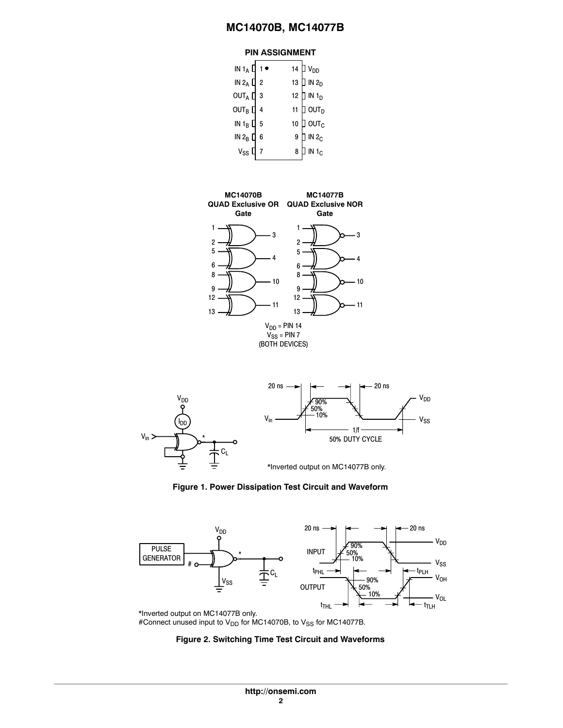# **PIN ASSIGNMENT**

| IN 1 <sub>A</sub> $\prod$ 1 $\bullet$ |    |    | 14 $\overline{J}$ V <sub>DD</sub> |
|---------------------------------------|----|----|-----------------------------------|
| IN $2_A \Box 2$                       |    |    | 13 $\Box$ IN 2 <sub>D</sub>       |
| $OUTA$ [                              | -3 |    | 12 $\Box$ IN 1 <sub>D</sub>       |
| out $_{\rm B}$ [                      |    | 11 | ] out $_{\tt D}$                  |
| IN $1_B$ $\Box$                       | 5  | 10 | ] ουτ $_{\rm c}$                  |
| IN 2 <sub>B</sub> $\Box$              | 6  | 9  | IN <sub>C</sub>                   |
| $V_{SS}$                              |    | 8  | $IN_0$                            |
|                                       |    |    |                                   |









\*Inverted output on MC14077B only. #Connect unused input to  $V_{DD}$  for MC14070B, to  $V_{SS}$  for MC14077B.

#### **Figure 2. Switching Time Test Circuit and Waveforms**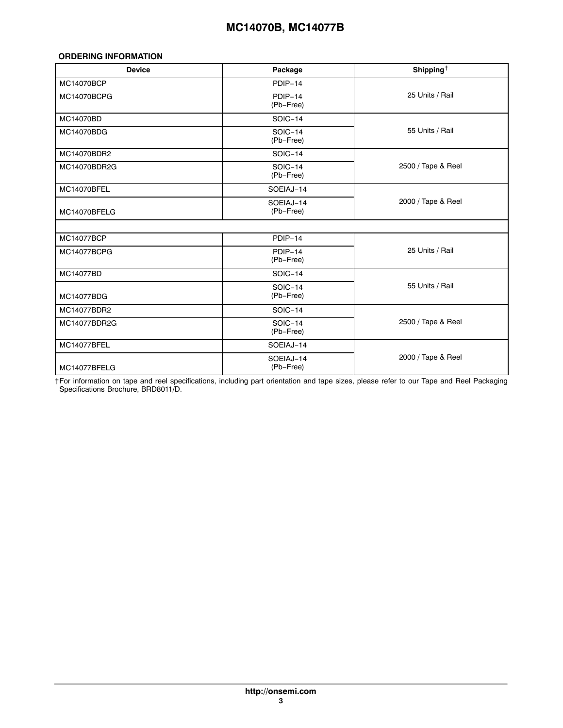# <span id="page-2-0"></span>**ORDERING INFORMATION**

| <b>Device</b>     | Package                | Shipping $\dagger$ |  |  |
|-------------------|------------------------|--------------------|--|--|
| MC14070BCP        | PDIP-14                |                    |  |  |
| MC14070BCPG       | PDIP-14<br>(Pb-Free)   | 25 Units / Rail    |  |  |
| MC14070BD         | SOIC-14                |                    |  |  |
| MC14070BDG        | SOIC-14<br>(Pb-Free)   | 55 Units / Rail    |  |  |
| MC14070BDR2       | SOIC-14                |                    |  |  |
| MC14070BDR2G      | SOIC-14<br>(Pb-Free)   | 2500 / Tape & Reel |  |  |
| MC14070BFEL       | SOEIAJ-14              | 2000 / Tape & Reel |  |  |
| MC14070BFELG      | SOEIAJ-14<br>(Pb-Free) |                    |  |  |
|                   |                        |                    |  |  |
| <b>MC14077BCP</b> | PDIP-14                |                    |  |  |
| MC14077BCPG       | $PDIP-14$<br>(Pb-Free) | 25 Units / Rail    |  |  |
| <b>MC14077BD</b>  | SOIC-14                |                    |  |  |
| MC14077BDG        | SOIC-14<br>(Pb-Free)   | 55 Units / Rail    |  |  |
| MC14077BDR2       | SOIC-14                |                    |  |  |
| MC14077BDR2G      | SOIC-14<br>(Pb-Free)   | 2500 / Tape & Reel |  |  |
| MC14077BFEL       | SOEIAJ-14              |                    |  |  |
| MC14077BFELG      | SOEIAJ-14<br>(Pb-Free) | 2000 / Tape & Reel |  |  |

†For information on tape and reel specifications, including part orientation and tape sizes, please refer to our Tape and Reel Packaging Specifications Brochure, BRD8011/D.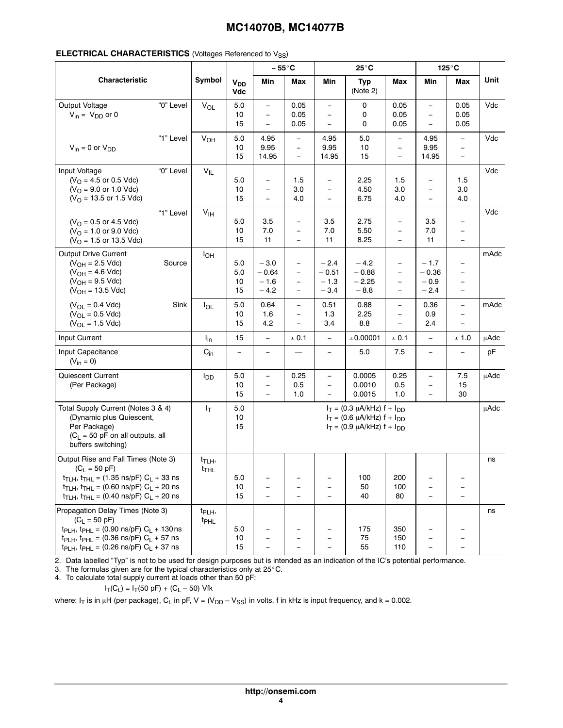|                                                                                                                                                                                                                                                                          |           |                                          |                              | $25^{\circ}$ C<br>$-55^{\circ}$ C                                                |                                                                                  |                                                                                  | $125^\circ C$                                                                                                  |                                                                                              |                                                                                  |                                                                                              |             |
|--------------------------------------------------------------------------------------------------------------------------------------------------------------------------------------------------------------------------------------------------------------------------|-----------|------------------------------------------|------------------------------|----------------------------------------------------------------------------------|----------------------------------------------------------------------------------|----------------------------------------------------------------------------------|----------------------------------------------------------------------------------------------------------------|----------------------------------------------------------------------------------------------|----------------------------------------------------------------------------------|----------------------------------------------------------------------------------------------|-------------|
| Characteristic                                                                                                                                                                                                                                                           |           | Symbol                                   | <b>V<sub>DD</sub></b><br>Vdc | Min                                                                              | Max                                                                              | Min                                                                              | <b>Typ</b><br>(Note 2)                                                                                         | <b>Max</b>                                                                                   | Min                                                                              | Max                                                                                          | Unit        |
| Output Voltage<br>$V_{in} = V_{DD}$ or 0                                                                                                                                                                                                                                 | "0" Level | VOL                                      | $5.0\,$<br>10<br>15          | $\overline{\phantom{0}}$<br>$\overline{\phantom{0}}$<br>$\overline{\phantom{0}}$ | 0.05<br>0.05<br>0.05                                                             | $\overline{\phantom{0}}$<br>$\equiv$<br>$\qquad \qquad -$                        | 0<br>0<br>0                                                                                                    | 0.05<br>0.05<br>0.05                                                                         | $\equiv$<br>$\equiv$<br>$\overline{\phantom{m}}$                                 | 0.05<br>0.05<br>0.05                                                                         | Vdc         |
| $V_{in} = 0$ or $V_{DD}$                                                                                                                                                                                                                                                 | "1" Level | <b>V<sub>OH</sub></b>                    | 5.0<br>10<br>15              | 4.95<br>9.95<br>14.95                                                            | $\overline{\phantom{0}}$<br>$\qquad \qquad -$<br>$\qquad \qquad -$               | 4.95<br>9.95<br>14.95                                                            | 5.0<br>10<br>15                                                                                                | $\equiv$<br>$\overline{\phantom{a}}$<br>$\overline{\phantom{m}}$                             | 4.95<br>9.95<br>14.95                                                            | $\equiv$<br>$\qquad \qquad -$<br>$\equiv$                                                    | Vdc         |
| Input Voltage<br>$(VO = 4.5$ or 0.5 Vdc)<br>$(VO = 9.0$ or 1.0 Vdc)<br>$(VO = 13.5$ or 1.5 Vdc)                                                                                                                                                                          | "0" Level | $V_{IL}$                                 | 5.0<br>10<br>15              | $\qquad \qquad -$<br>$\qquad \qquad -$<br>$\overline{\phantom{0}}$               | 1.5<br>3.0<br>4.0                                                                | $\qquad \qquad -$<br>$\qquad \qquad -$<br>$\equiv$                               | 2.25<br>4.50<br>6.75                                                                                           | 1.5<br>3.0<br>4.0                                                                            | $\overline{\phantom{m}}$<br>$\overline{\phantom{m}}$<br>$\overline{\phantom{m}}$ | 1.5<br>3.0<br>4.0                                                                            | Vdc         |
| $(VO = 0.5$ or 4.5 Vdc)<br>$(VO = 1.0$ or 9.0 Vdc)<br>$(VO = 1.5$ or 13.5 Vdc)                                                                                                                                                                                           | "1" Level | V <sub>IH</sub>                          | 5.0<br>10<br>15              | 3.5<br>7.0<br>11                                                                 | $\overline{\phantom{0}}$<br>$\overline{\phantom{0}}$<br>$\overline{\phantom{0}}$ | 3.5<br>7.0<br>11                                                                 | 2.75<br>5.50<br>8.25                                                                                           | $\overline{\phantom{m}}$<br>$\overline{\phantom{m}}$<br>$\overline{\phantom{m}}$             | 3.5<br>7.0<br>11                                                                 | $\qquad \qquad -$<br>$\overline{\phantom{m}}$<br>$\overline{\phantom{m}}$                    | Vdc         |
| <b>Output Drive Current</b><br>$(V_{OH} = 2.5$ Vdc)<br>$(V_{OH} = 4.6$ Vdc)<br>$(V_{OH} = 9.5$ Vdc)<br>$(V_{OH} = 13.5$ Vdc)                                                                                                                                             | Source    | $I_{OH}$                                 | 5.0<br>5.0<br>10<br>15       | $-3.0$<br>$-0.64$<br>$-1.6$<br>$-4.2$                                            | $\qquad \qquad -$<br>$\overline{\phantom{0}}$<br>$\frac{1}{2}$                   | $-2.4$<br>$-0.51$<br>$-1.3$<br>$-3.4$                                            | $-4.2$<br>$-0.88$<br>$-2.25$<br>$-8.8$                                                                         | $\overline{\phantom{m}}$<br>$\overline{\phantom{m}}$<br>$\overline{\phantom{m}}$<br>$\equiv$ | $-1.7$<br>$-0.36$<br>$-0.9$<br>$-2.4$                                            | $\overline{\phantom{m}}$<br>$\overline{\phantom{0}}$<br>$\overline{\phantom{m}}$<br>$\equiv$ | mAdc        |
| $(V_{OL} = 0.4$ Vdc)<br>$(V_{OL} = 0.5$ Vdc)<br>$(V_{OL} = 1.5$ Vdc)                                                                                                                                                                                                     | Sink      | $I_{OL}$                                 | 5.0<br>10<br>15              | 0.64<br>1.6<br>4.2                                                               | $\overline{\phantom{0}}$<br>$\overline{\phantom{0}}$<br>$\overline{\phantom{a}}$ | 0.51<br>1.3<br>3.4                                                               | 0.88<br>2.25<br>8.8                                                                                            | $\equiv$<br>$\overline{\phantom{m}}$<br>$\equiv$                                             | 0.36<br>0.9<br>2.4                                                               | $\overline{\phantom{m}}$<br>$\qquad \qquad -$<br>$\equiv$                                    | mAdc        |
| Input Current                                                                                                                                                                                                                                                            |           | $I_{in}$                                 | 15                           | $\overline{\phantom{0}}$                                                         | ± 0.1                                                                            | $\equiv$                                                                         | ±0.00001                                                                                                       | ± 0.1                                                                                        | $\equiv$                                                                         | ± 1.0                                                                                        | <b>µAdc</b> |
| Input Capacitance<br>$(V_{in} = 0)$                                                                                                                                                                                                                                      |           | $C_{in}$                                 |                              | $\qquad \qquad -$                                                                |                                                                                  | $\overline{\phantom{a}}$                                                         | 5.0                                                                                                            | 7.5                                                                                          | $\equiv$                                                                         | $\overline{\phantom{m}}$                                                                     | pF          |
| Quiescent Current<br>(Per Package)                                                                                                                                                                                                                                       |           | $I_{DD}$                                 | $5.0\,$<br>10<br>15          | $\overline{\phantom{0}}$<br>$\qquad \qquad -$<br>$\equiv$                        | 0.25<br>0.5<br>1.0                                                               | $\equiv$<br>$\equiv$<br>$\equiv$                                                 | 0.0005<br>0.0010<br>0.0015                                                                                     | 0.25<br>0.5<br>1.0                                                                           | $\equiv$<br>$\overline{\phantom{m}}$<br>$\overline{\phantom{m}}$                 | 7.5<br>15<br>30                                                                              | <b>µAdc</b> |
| Total Supply Current (Notes 3 & 4)<br>(Dynamic plus Quiescent,<br>Per Package)<br>$(C_L = 50$ pF on all outputs, all<br>buffers switching)                                                                                                                               |           | $I_T$                                    | 5.0<br>10<br>15              |                                                                                  |                                                                                  |                                                                                  | $I_T = (0.3 \mu A/kHz) f + I_{DD}$<br>$I_T = (0.6 \mu A/kHz) f + I_{DD}$<br>$I_T = (0.9 \mu A/kHz) f + I_{DD}$ |                                                                                              |                                                                                  |                                                                                              | <b>µAdc</b> |
| Output Rise and Fall Times (Note 3)<br>$(C_L = 50 \text{ pF})$<br>$t_{TLH}$ , $t_{THL}$ = (1.35 ns/pF) $C_L$ + 33 ns<br>$t_{TLH}$ , $t_{THL}$ = (0.60 ns/pF) $C_L$ + 20 ns<br>$t_{TLH}$ , $t_{THL}$ = (0.40 ns/pF) $C_L$ + 20 ns                                         |           | $t$ <sub>TLH</sub> ,<br>t <sub>THL</sub> | 5.0<br>10<br>15              | $\qquad \qquad -$<br>$\overline{\phantom{0}}$<br>$\equiv$                        | $\overline{\phantom{0}}$<br>Ē,                                                   | $\overline{\phantom{m}}$<br>$\overline{\phantom{0}}$<br>$\overline{\phantom{0}}$ | 100<br>50<br>40                                                                                                | 200<br>100<br>80                                                                             | $\equiv$                                                                         | $\equiv$                                                                                     | ns          |
| Propagation Delay Times (Note 3)<br>$(C_L = 50 \text{ pF})$<br>$tp_{LH}$ , $tp_{HL} = (0.90 \text{ ns/pF}) C_L + 130 \text{ ns}$<br>t <sub>PLH</sub> , t <sub>PHL</sub> = (0.36 ns/pF) $C_L$ + 57 ns<br>t <sub>PLH</sub> , t <sub>PHL</sub> = (0.26 ns/pF) $C_L$ + 37 ns |           | t <sub>PLH</sub> ,<br><sup>t</sup> PHL   | 5.0<br>10<br>15              | $\overline{\phantom{0}}$<br>$\overline{\phantom{0}}$                             | $\overline{\phantom{0}}$                                                         | $\overline{\phantom{0}}$<br>$\overline{\phantom{0}}$                             | 175<br>75<br>55                                                                                                | 350<br>150<br>110                                                                            |                                                                                  |                                                                                              | ns          |

2. Data labelled "Typ" is not to be used for design purposes but is intended as an indication of the IC's potential performance.<br>3. The formulas given are for the typical characteristics only at 25°C.

4. To calculate total supply current at loads other than 50 pF:

$$
I_T(C_L) = I_T(50 pF) + (C_L - 50)
$$
 Vfk

where: I<sub>T</sub> is in µH (per package), C<sub>L</sub> in pF, V = (V<sub>DD</sub> – V<sub>SS</sub>) in volts, f in kHz is input frequency, and k = 0.002.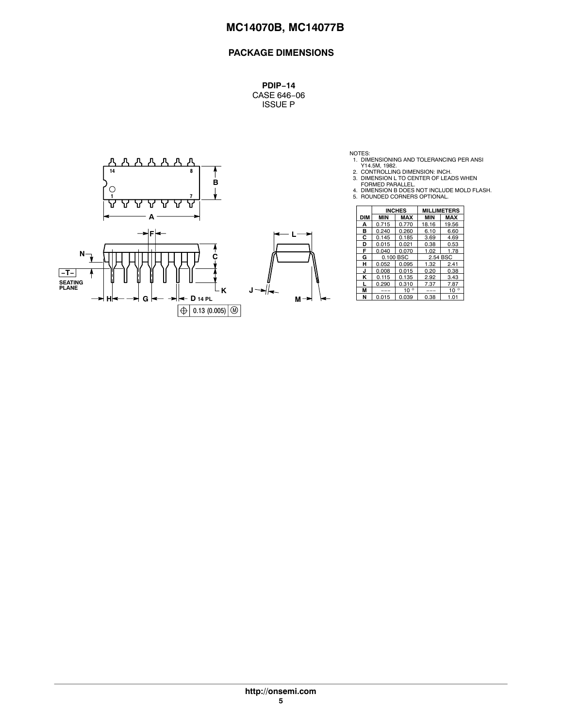# **PACKAGE DIMENSIONS**

**PDIP−14** CASE 646−06 ISSUE P



NOTES:<br>
1. DIMENSIONING AND TOLERANCING PER ANSI<br>
2. CONTROLLING DIMENSION: INCH.<br>
3. DIMENSION L TO CENTER OF LEADS WHEN<br>
FORMED PARALLEL.<br>
4. DIMENSION B DOES NOT INCLUDE MOLD FLASH.<br>
5. ROUNDED CORNERS OPTIONAL.

|            |            | <b>INCHES</b> | <b>MILLIMETERS</b> |              |  |
|------------|------------|---------------|--------------------|--------------|--|
| <b>DIM</b> | <b>MIN</b> | <b>MAX</b>    | <b>MIN</b>         | <b>MAX</b>   |  |
| А          | 0.715      | 0.770         | 18.16              | 19.56        |  |
| в          | 0.240      | 0.260         | 6.10               | 6.60         |  |
| С          | 0.145      | 0.185         | 3.69               | 4.69         |  |
| D          | 0.015      | 0.021         | 0.38               | 0.53         |  |
| F          | 0.040      | 0.070         | 1.02               | 1.78         |  |
| G          |            | 0.100 BSC     | 2.54 BSC           |              |  |
| н          | 0.052      | 0.095         | 1.32               | 2.41         |  |
| J          | 0.008      | 0.015         | 0.20               | 0.38         |  |
| κ          | 0.115      | 0.135         | 2.92               | 3.43         |  |
|            | 0.290      | 0.310         | 7.37               | 7.87         |  |
| M          | ---        | $10^{\circ}$  | ---                | $10^{\circ}$ |  |
| N          | 0.015      | 0.039         | 0.38               | 1.01         |  |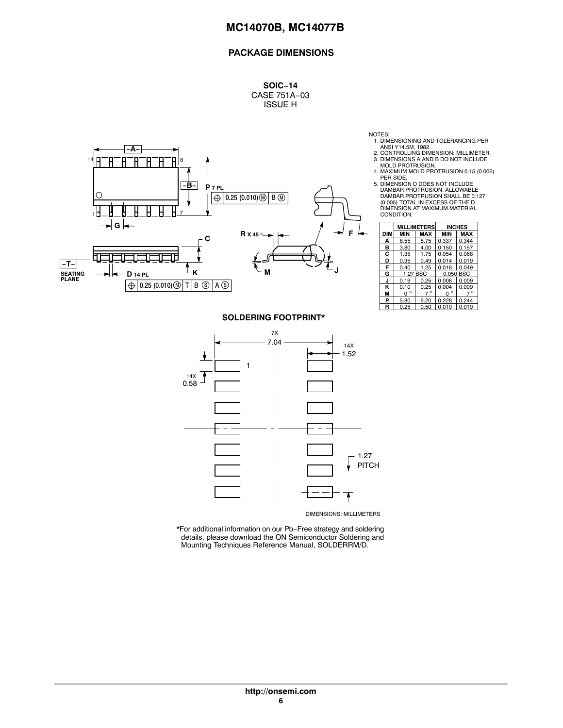# **PACKAGE DIMENSIONS**

**SOIC−14** CASE 751A−03 ISSUE H



NOTES:

- 1. DIMENSIONING AND TOLERANCING PER
- ANSI Y14.5M, 1982.<br>2. CONTROLLING DIMENSION: MILLIMETER.<br>3. DIMENSIONS A AND B DO NOT INCLUDE<br>MOLD PROTRUSION.
- 4. MAXIMUM MOLD PROTRUSION 0.15 (0.006) PER SIDE.
- 5. DIMENSION D DOES NOT INCLUDE DAMBAR PROTRUSION. ALLOWABLE DAMBAR PROTRUSION SHALL BE 0.127 (0.005) TOTAL IN EXCESS OF THE D DIMENSION AT MAXIMUM MATERIAL CONDITION.

|     |                     | <b>MILLIMETERS</b> |              | <b>INCHES</b> |  |
|-----|---------------------|--------------------|--------------|---------------|--|
| DIM | <b>MIN</b>          | <b>MAX</b>         | <b>MIN</b>   | <b>MAX</b>    |  |
| A   | 8.55                | 8.75               | 0.337        | 0.344         |  |
| в   | 3.80                | 4.00               | 0.150        | 0.157         |  |
| С   | 1.35                | 1.75               | 0.054        | 0.068         |  |
| D   | 0.35                | 0.49               | 0.014        | 0.019         |  |
| F   | 0.40                | 1.25               | 0.016        | 0.049         |  |
| G   |                     | 1.27 BSC           |              | 0.050 BSC     |  |
| J   | 0.19                | 0.25               | 0.008        | 0.009         |  |
| κ   | 0.10                | 0.25               | 0.004        | 0.009         |  |
| М   | $\circ$<br>$\Omega$ | $\circ$            | $\circ$<br>O | $\circ$       |  |
| P   | 5.80                | 6.20               | 0.228        | 0.244         |  |
| R   | 0.25<br>0.50        |                    | 0.010        | 0.019         |  |

#### **SOLDERING FOOTPRINT\***



\*For additional information on our Pb−Free strategy and soldering details, please download the ON Semiconductor Soldering and Mounting Techniques Reference Manual, SOLDERRM/D.